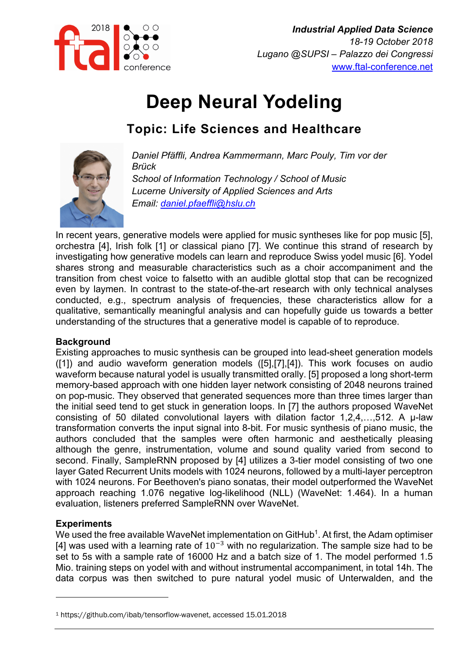

# **Deep Neural Yodeling**

## **Topic: Life Sciences and Healthcare**



*Daniel Pfäffli, Andrea Kammermann, Marc Pouly, Tim vor der Brück School of Information Technology / School of Music Lucerne University of Applied Sciences and Arts Email: daniel.pfaeffli@hslu.ch*

In recent years, generative models were applied for music syntheses like for pop music [5], orchestra [4], Irish folk [1] or classical piano [7]. We continue this strand of research by investigating how generative models can learn and reproduce Swiss yodel music [6]. Yodel shares strong and measurable characteristics such as a choir accompaniment and the transition from chest voice to falsetto with an audible glottal stop that can be recognized even by laymen. In contrast to the state-of-the-art research with only technical analyses conducted, e.g., spectrum analysis of frequencies, these characteristics allow for a qualitative, semantically meaningful analysis and can hopefully guide us towards a better understanding of the structures that a generative model is capable of to reproduce.

### **Background**

Existing approaches to music synthesis can be grouped into lead-sheet generation models ([1]) and audio waveform generation models ([5],[7],[4]). This work focuses on audio waveform because natural yodel is usually transmitted orally. [5] proposed a long short-term memory-based approach with one hidden layer network consisting of 2048 neurons trained on pop-music. They observed that generated sequences more than three times larger than the initial seed tend to get stuck in generation loops. In [7] the authors proposed WaveNet consisting of 50 dilated convolutional layers with dilation factor 1,2,4,…,512. A μ-law transformation converts the input signal into 8-bit. For music synthesis of piano music, the authors concluded that the samples were often harmonic and aesthetically pleasing although the genre, instrumentation, volume and sound quality varied from second to second. Finally, SampleRNN proposed by [4] utilizes a 3-tier model consisting of two one layer Gated Recurrent Units models with 1024 neurons, followed by a multi-layer perceptron with 1024 neurons. For Beethoven's piano sonatas, their model outperformed the WaveNet approach reaching 1.076 negative log-likelihood (NLL) (WaveNet: 1.464). In a human evaluation, listeners preferred SampleRNN over WaveNet.

### **Experiments**

We used the free available WaveNet implementation on GitHub<sup>1</sup>. At first, the Adam optimiser [4] was used with a learning rate of  $10^{-3}$  with no regularization. The sample size had to be set to 5s with a sample rate of 16000 Hz and a batch size of 1. The model performed 1.5 Mio. training steps on yodel with and without instrumental accompaniment, in total 14h. The data corpus was then switched to pure natural yodel music of Unterwalden, and the

<sup>1</sup> https://github.com/ibab/tensorflow-wavenet, accessed 15.01.2018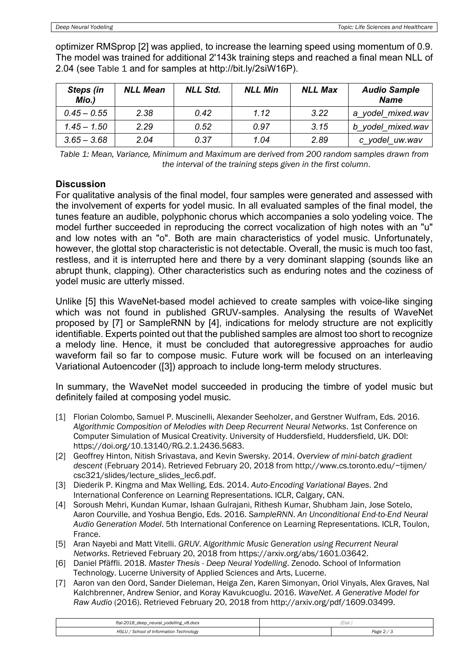optimizer RMSprop [2] was applied, to increase the learning speed using momentum of 0.9. The model was trained for additional 2'143k training steps and reached a final mean NLL of 2.04 (see Table 1 and for samples at http://bit.ly/2siW16P).

| Steps (in<br>Mio.) | <b>NLL Mean</b> | <b>NLL Std.</b> | <b>NLL Min</b> | <b>NLL Max</b> | <b>Audio Sample</b><br><b>Name</b> |
|--------------------|-----------------|-----------------|----------------|----------------|------------------------------------|
| $0.45 - 0.55$      | 2.38            | 0.42            | 1.12           | 3.22           | a yodel mixed.wav                  |
| $1.45 - 1.50$      | 2.29            | 0.52            | 0.97           | 3.15           | b yodel mixed.wav                  |
| $3.65 - 3.68$      | 2.04            | 0.37            | 1.04           | 2.89           | c yodel uw.wav                     |

*Table 1: Mean, Variance, Minimum and Maximum are derived from 200 random samples drawn from the interval of the training steps given in the first column*.

#### **Discussion**

For qualitative analysis of the final model, four samples were generated and assessed with the involvement of experts for yodel music. In all evaluated samples of the final model, the tunes feature an audible, polyphonic chorus which accompanies a solo yodeling voice. The model further succeeded in reproducing the correct vocalization of high notes with an "u" and low notes with an "o". Both are main characteristics of yodel music. Unfortunately, however, the glottal stop characteristic is not detectable. Overall, the music is much too fast, restless, and it is interrupted here and there by a very dominant slapping (sounds like an abrupt thunk, clapping). Other characteristics such as enduring notes and the coziness of yodel music are utterly missed.

Unlike [5] this WaveNet-based model achieved to create samples with voice-like singing which was not found in published GRUV-samples. Analysing the results of WaveNet proposed by [7] or SampleRNN by [4], indications for melody structure are not explicitly identifiable. Experts pointed out that the published samples are almost too short to recognize a melody line. Hence, it must be concluded that autoregressive approaches for audio waveform fail so far to compose music. Future work will be focused on an interleaving Variational Autoencoder ([3]) approach to include long-term melody structures.

In summary, the WaveNet model succeeded in producing the timbre of yodel music but definitely failed at composing yodel music.

- [1] Florian Colombo, Samuel P. Muscinelli, Alexander Seeholzer, and Gerstner Wulfram, Eds. 2016. *Algorithmic Composition of Melodies with Deep Recurrent Neural Networks*. 1st Conference on Computer Simulation of Musical Creativity. University of Huddersfield, Huddersfield, UK. DOI: https://doi.org/10.13140/RG.2.1.2436.5683.
- [2] Geoffrey Hinton, Nitish Srivastava, and Kevin Swersky. 2014. *Overview of mini-batch gradient descent* (February 2014). Retrieved February 20, 2018 from http://www.cs.toronto.edu/~tijmen/ csc321/slides/lecture\_slides\_lec6.pdf.
- [3] Diederik P. Kingma and Max Welling, Eds. 2014. *Auto-Encoding Variational Bayes*. 2nd International Conference on Learning Representations. ICLR, Calgary, CAN.
- [4] Soroush Mehri, Kundan Kumar, Ishaan Gulrajani, Rithesh Kumar, Shubham Jain, Jose Sotelo, Aaron Courville, and Yoshua Bengio, Eds. 2016. *SampleRNN*. *An Unconditional End-to-End Neural Audio Generation Model*. 5th International Conference on Learning Representations. ICLR, Toulon, France.
- [5] Aran Nayebi and Matt Vitelli. *GRUV*. *Algorithmic Music Generation using Recurrent Neural Networks*. Retrieved February 20, 2018 from https://arxiv.org/abs/1601.03642.
- [6] Daniel Pfäffli. 2018. *Master Thesis - Deep Neural Yodelling*. Zenodo. School of Information Technology. Lucerne University of Applied Sciences and Arts, Lucerne.
- [7] Aaron van den Oord, Sander Dieleman, Heiga Zen, Karen Simonyan, Oriol Vinyals, Alex Graves, Nal Kalchbrenner, Andrew Senior, and Koray Kavukcuoglu. 2016. *WaveNet*. *A Generative Model for Raw Audio* (2016). Retrieved February 20, 2018 from http://arxiv.org/pdf/1609.03499.

| ftal-2018_deep_neural_yodelling_v8.docx | <b>Service</b><br>, Eldl |        |
|-----------------------------------------|--------------------------|--------|
| l of Information Technology             |                          | Page 2 |